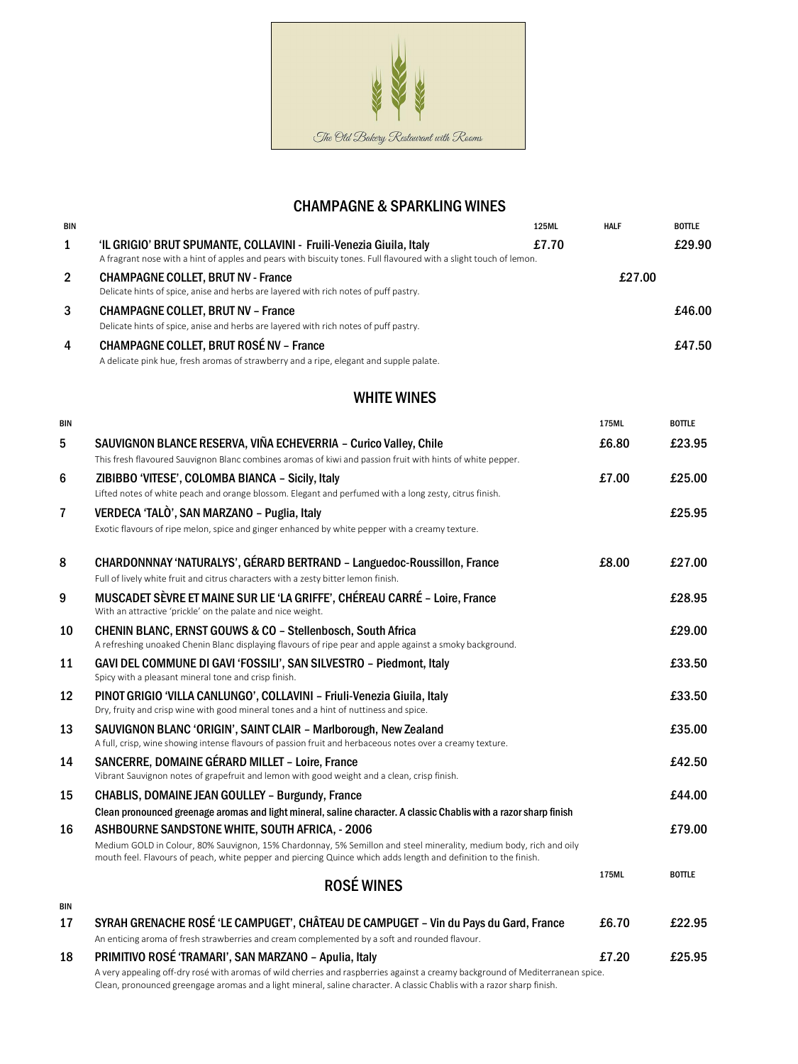

## **CHAMPAGNE & SPARKLING WINES**

| <b>BIN</b>     |                                                                                                                                                                                          | <b>125ML</b> | <b>HALF</b> | <b>BOTTLE</b> |
|----------------|------------------------------------------------------------------------------------------------------------------------------------------------------------------------------------------|--------------|-------------|---------------|
| $\mathbf{1}$   | 'IL GRIGIO' BRUT SPUMANTE, COLLAVINI - Fruili-Venezia Giuila, Italy<br>A fragrant nose with a hint of apples and pears with biscuity tones. Full flavoured with a slight touch of lemon. | £7.70        |             | £29.90        |
| $\overline{2}$ | <b>CHAMPAGNE COLLET, BRUT NV - France</b><br>Delicate hints of spice, anise and herbs are layered with rich notes of puff pastry.                                                        |              | £27.00      |               |
| 3              | <b>CHAMPAGNE COLLET, BRUT NV - France</b>                                                                                                                                                |              |             | £46.00        |
|                | Delicate hints of spice, anise and herbs are layered with rich notes of puff pastry.                                                                                                     |              |             |               |
| $\overline{4}$ | <b>CHAMPAGNE COLLET, BRUT ROSÉ NV - France</b>                                                                                                                                           |              |             | £47.50        |
|                | A delicate pink hue, fresh aromas of strawberry and a ripe, elegant and supple palate.                                                                                                   |              |             |               |

## WHITE WINES

| <b>BIN</b>              |                                                                                                                                                                                                                                                          | 175ML | <b>BOTTLE</b> |
|-------------------------|----------------------------------------------------------------------------------------------------------------------------------------------------------------------------------------------------------------------------------------------------------|-------|---------------|
| $5\phantom{1}$          | SAUVIGNON BLANCE RESERVA, VIÑA ECHEVERRIA - Curico Valley, Chile<br>This fresh flavoured Sauvignon Blanc combines aromas of kiwi and passion fruit with hints of white pepper.                                                                           | £6.80 | £23.95        |
| 6                       | ZIBIBBO 'VITESE', COLOMBA BIANCA - Sicily, Italy                                                                                                                                                                                                         | £7.00 | £25.00        |
|                         | Lifted notes of white peach and orange blossom. Elegant and perfumed with a long zesty, citrus finish.                                                                                                                                                   |       |               |
| $\overline{\mathbf{7}}$ | VERDECA 'TALÒ', SAN MARZANO - Puglia, Italy                                                                                                                                                                                                              |       | £25.95        |
|                         | Exotic flavours of ripe melon, spice and ginger enhanced by white pepper with a creamy texture.                                                                                                                                                          |       |               |
| 8                       | CHARDONNNAY 'NATURALYS', GÉRARD BERTRAND - Languedoc-Roussillon, France<br>Full of lively white fruit and citrus characters with a zesty bitter lemon finish.                                                                                            | £8.00 | £27.00        |
| 9                       | MUSCADET SÈVRE ET MAINE SUR LIE 'LA GRIFFE', CHÉREAU CARRÉ - Loire, France<br>With an attractive 'prickle' on the palate and nice weight.                                                                                                                |       | £28.95        |
| 10                      | <b>CHENIN BLANC, ERNST GOUWS &amp; CO - Stellenbosch, South Africa</b><br>A refreshing unoaked Chenin Blanc displaying flavours of ripe pear and apple against a smoky background.                                                                       |       | £29.00        |
| 11                      | GAVI DEL COMMUNE DI GAVI 'FOSSILI', SAN SILVESTRO - Piedmont, Italy<br>Spicy with a pleasant mineral tone and crisp finish.                                                                                                                              |       | £33.50        |
| 12                      | PINOT GRIGIO 'VILLA CANLUNGO', COLLAVINI - Friuli-Venezia Giuila, Italy<br>Dry, fruity and crisp wine with good mineral tones and a hint of nuttiness and spice.                                                                                         |       | £33.50        |
| 13                      | SAUVIGNON BLANC 'ORIGIN', SAINT CLAIR - Marlborough, New Zealand<br>A full, crisp, wine showing intense flavours of passion fruit and herbaceous notes over a creamy texture.                                                                            |       | £35.00        |
| 14                      | SANCERRE, DOMAINE GÉRARD MILLET - Loire, France<br>Vibrant Sauvignon notes of grapefruit and lemon with good weight and a clean, crisp finish.                                                                                                           |       | £42.50        |
| 15                      | <b>CHABLIS, DOMAINE JEAN GOULLEY - Burgundy, France</b><br>Clean pronounced greenage aromas and light mineral, saline character. A classic Chablis with a razor sharp finish                                                                             |       | £44.00        |
| 16                      | ASHBOURNE SANDSTONE WHITE, SOUTH AFRICA, - 2006                                                                                                                                                                                                          |       | £79.00        |
|                         | Medium GOLD in Colour, 80% Sauvignon, 15% Chardonnay, 5% Semillon and steel minerality, medium body, rich and oily<br>mouth feel. Flavours of peach, white pepper and piercing Quince which adds length and definition to the finish.                    |       |               |
|                         | <b>ROSÉ WINES</b>                                                                                                                                                                                                                                        | 175ML | <b>BOTTLE</b> |
| <b>BIN</b>              |                                                                                                                                                                                                                                                          |       |               |
| 17                      | SYRAH GRENACHE ROSÉ 'LE CAMPUGET', CHÂTEAU DE CAMPUGET - Vin du Pays du Gard, France<br>An enticing aroma of fresh strawberries and cream complemented by a soft and rounded flavour.                                                                    | £6.70 | £22.95        |
| 18                      | PRIMITIVO ROSÉ 'TRAMARI', SAN MARZANO - Apulia, Italy                                                                                                                                                                                                    | £7.20 | £25.95        |
|                         | A very appealing off-dry rosé with aromas of wild cherries and raspberries against a creamy background of Mediterranean spice.<br>Clean, pronounced greengage aromas and a light mineral, saline character. A classic Chablis with a razor sharp finish. |       |               |